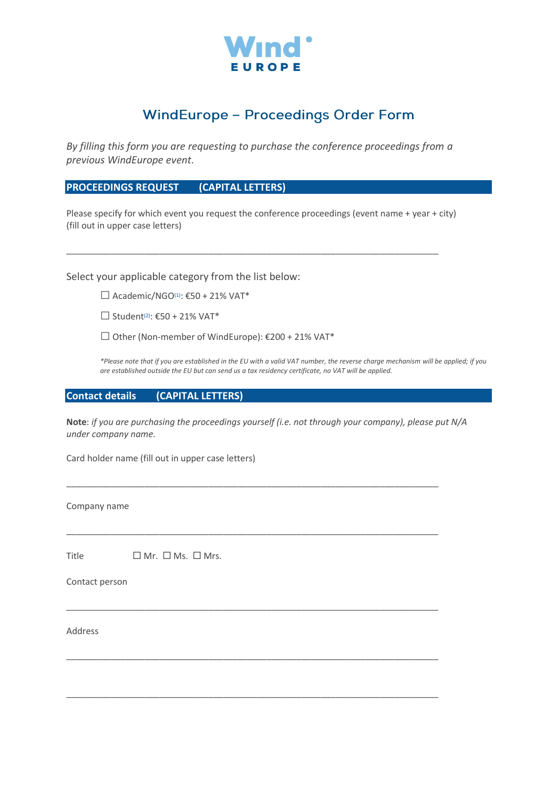

## **WindEurope - Proceedings Order Form**

*By filling this form you are requesting to purchase the conference proceedings from a previous WindEurope event.*

**PROCEEDINGS REQUEST (CAPITAL LETTERS)**

Please specify for which event you request the conference proceedings (event name + year + city) (fill out in upper case letters)

\_\_\_\_\_\_\_\_\_\_\_\_\_\_\_\_\_\_\_\_\_\_\_\_\_\_\_\_\_\_\_\_\_\_\_\_\_\_\_\_\_\_\_\_\_\_\_\_\_\_\_\_\_\_\_\_\_\_\_\_\_\_\_\_\_\_\_\_\_\_\_\_\_\_\_\_

Select your applicable category from the list below:

 $\Box$  Academic/NGO<sup>(1)</sup>:  $\epsilon$ 50 + 21% VAT\*

 $\Box$  Student<sup>(2)</sup>: €50 + 21% VAT\*

 $□$  Other (Non-member of WindEurope): €200 + 21% VAT\*

*\*Please note that if you are established in the EU with a valid VAT number, the reverse charge mechanism will be applied; if you are established outside the EU but can send us a tax residency certificate, no VAT will be applied.*

## **Contact details (CAPITAL LETTERS)**

**Note**: *if you are purchasing the proceedings yourself (i.e. not through your company), please put N/A under company name.*

\_\_\_\_\_\_\_\_\_\_\_\_\_\_\_\_\_\_\_\_\_\_\_\_\_\_\_\_\_\_\_\_\_\_\_\_\_\_\_\_\_\_\_\_\_\_\_\_\_\_\_\_\_\_\_\_\_\_\_\_\_\_\_\_\_\_\_\_\_\_\_\_\_\_\_\_

\_\_\_\_\_\_\_\_\_\_\_\_\_\_\_\_\_\_\_\_\_\_\_\_\_\_\_\_\_\_\_\_\_\_\_\_\_\_\_\_\_\_\_\_\_\_\_\_\_\_\_\_\_\_\_\_\_\_\_\_\_\_\_\_\_\_\_\_\_\_\_\_\_\_\_\_

\_\_\_\_\_\_\_\_\_\_\_\_\_\_\_\_\_\_\_\_\_\_\_\_\_\_\_\_\_\_\_\_\_\_\_\_\_\_\_\_\_\_\_\_\_\_\_\_\_\_\_\_\_\_\_\_\_\_\_\_\_\_\_\_\_\_\_\_\_\_\_\_\_\_\_\_

\_\_\_\_\_\_\_\_\_\_\_\_\_\_\_\_\_\_\_\_\_\_\_\_\_\_\_\_\_\_\_\_\_\_\_\_\_\_\_\_\_\_\_\_\_\_\_\_\_\_\_\_\_\_\_\_\_\_\_\_\_\_\_\_\_\_\_\_\_\_\_\_\_\_\_\_

\_\_\_\_\_\_\_\_\_\_\_\_\_\_\_\_\_\_\_\_\_\_\_\_\_\_\_\_\_\_\_\_\_\_\_\_\_\_\_\_\_\_\_\_\_\_\_\_\_\_\_\_\_\_\_\_\_\_\_\_\_\_\_\_\_\_\_\_\_\_\_\_\_\_\_\_

Card holder name (fill out in upper case letters)

Company name

Title  $\Box$  Mr.  $\Box$  Ms.  $\Box$  Mrs.

Contact person

Address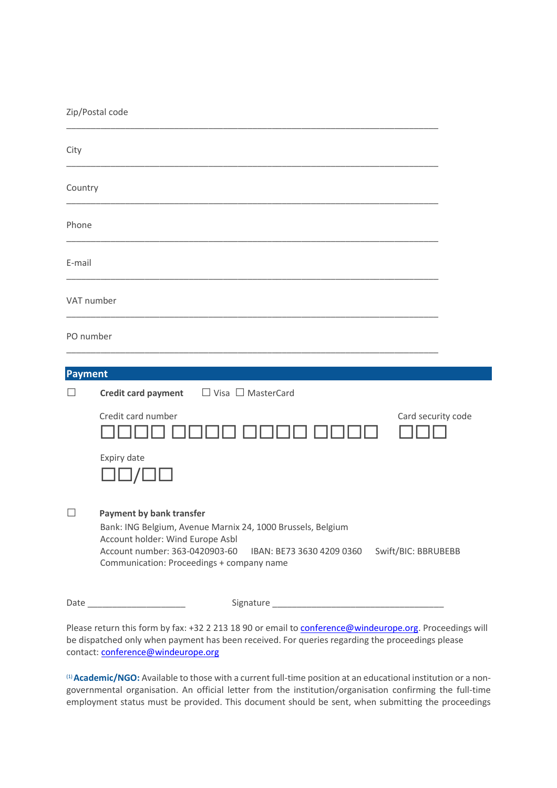| Zip/Postal code |                                                                                                                                                                                                                                                                       |
|-----------------|-----------------------------------------------------------------------------------------------------------------------------------------------------------------------------------------------------------------------------------------------------------------------|
| City            |                                                                                                                                                                                                                                                                       |
| Country         |                                                                                                                                                                                                                                                                       |
| Phone           |                                                                                                                                                                                                                                                                       |
| E-mail          |                                                                                                                                                                                                                                                                       |
| VAT number      |                                                                                                                                                                                                                                                                       |
| PO number       |                                                                                                                                                                                                                                                                       |
| <b>Payment</b>  |                                                                                                                                                                                                                                                                       |
|                 | $\Box$ Visa $\Box$ MasterCard<br><b>Credit card payment</b>                                                                                                                                                                                                           |
|                 | Credit card number<br>Card security code                                                                                                                                                                                                                              |
|                 | Expiry date                                                                                                                                                                                                                                                           |
| П               | <b>Payment by bank transfer</b><br>Bank: ING Belgium, Avenue Marnix 24, 1000 Brussels, Belgium<br>Account holder: Wind Europe Asbl<br>Account number: 363-0420903-60<br>Swift/BIC: BBRUBEBB<br>IBAN: BE73 3630 4209 0360<br>Communication: Proceedings + company name |

Date \_\_\_\_\_\_\_\_\_\_\_\_\_\_\_\_\_\_\_\_ Signature \_\_\_\_\_\_\_\_\_\_\_\_\_\_\_\_\_\_\_\_\_\_\_\_\_\_\_\_\_\_\_\_\_\_\_

Please return this form by fax: +32 2 213 18 90 or email to [conference@windeurope.org.](mailto:conference@windeurope.org) Proceedings will be dispatched only when payment has been received. For queries regarding the proceedings please contact: [conference@windeurope.org](mailto:conference@windeurope.org)

(1) **Academic/NGO:** Available to those with a current full-time position at an educational institution or a nongovernmental organisation. An official letter from the institution/organisation confirming the full-time employment status must be provided. This document should be sent, when submitting the proceedings